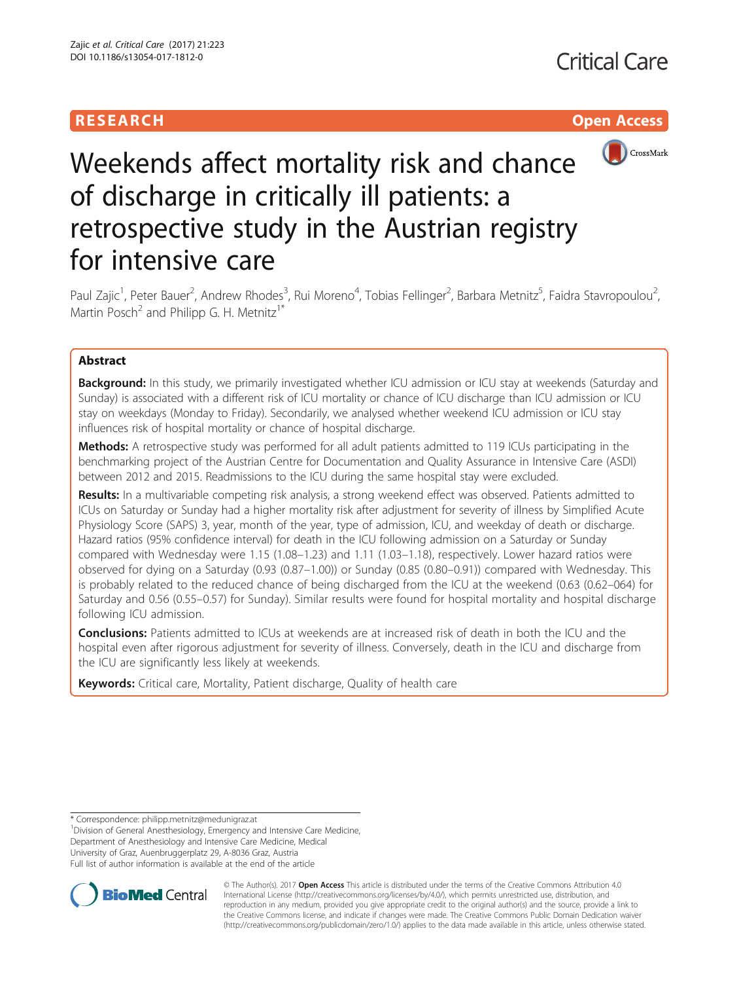# **RESEARCH CHILD CONTROL** CONTROL CONTROL CONTROL CONTROL CONTROL CONTROL CONTROL CONTROL CONTROL CONTROL CONTROL



# Weekends affect mortality risk and chance of discharge in critically ill patients: a retrospective study in the Austrian registry for intensive care

Paul Zajic<sup>1</sup>, Peter Bauer<sup>2</sup>, Andrew Rhodes<sup>3</sup>, Rui Moreno<sup>4</sup>, Tobias Fellinger<sup>2</sup>, Barbara Metnitz<sup>5</sup>, Faidra Stavropoulou<sup>2</sup> , Martin Posch<sup>2</sup> and Philipp G. H. Metnitz<sup>1\*</sup>

# Abstract

**Background:** In this study, we primarily investigated whether ICU admission or ICU stay at weekends (Saturday and Sunday) is associated with a different risk of ICU mortality or chance of ICU discharge than ICU admission or ICU stay on weekdays (Monday to Friday). Secondarily, we analysed whether weekend ICU admission or ICU stay influences risk of hospital mortality or chance of hospital discharge.

Methods: A retrospective study was performed for all adult patients admitted to 119 ICUs participating in the benchmarking project of the Austrian Centre for Documentation and Quality Assurance in Intensive Care (ASDI) between 2012 and 2015. Readmissions to the ICU during the same hospital stay were excluded.

Results: In a multivariable competing risk analysis, a strong weekend effect was observed. Patients admitted to ICUs on Saturday or Sunday had a higher mortality risk after adjustment for severity of illness by Simplified Acute Physiology Score (SAPS) 3, year, month of the year, type of admission, ICU, and weekday of death or discharge. Hazard ratios (95% confidence interval) for death in the ICU following admission on a Saturday or Sunday compared with Wednesday were 1.15 (1.08–1.23) and 1.11 (1.03–1.18), respectively. Lower hazard ratios were observed for dying on a Saturday (0.93 (0.87–1.00)) or Sunday (0.85 (0.80–0.91)) compared with Wednesday. This is probably related to the reduced chance of being discharged from the ICU at the weekend (0.63 (0.62–064) for Saturday and 0.56 (0.55–0.57) for Sunday). Similar results were found for hospital mortality and hospital discharge following ICU admission.

**Conclusions:** Patients admitted to ICUs at weekends are at increased risk of death in both the ICU and the hospital even after rigorous adjustment for severity of illness. Conversely, death in the ICU and discharge from the ICU are significantly less likely at weekends.

Keywords: Critical care, Mortality, Patient discharge, Quality of health care

\* Correspondence: [philipp.metnitz@medunigraz.at](mailto:philipp.metnitz@medunigraz.at) <sup>1</sup>

<sup>1</sup> Division of General Anesthesiology, Emergency and Intensive Care Medicine, Department of Anesthesiology and Intensive Care Medicine, Medical University of Graz, Auenbruggerplatz 29, A-8036 Graz, Austria Full list of author information is available at the end of the article



© The Author(s). 2017 **Open Access** This article is distributed under the terms of the Creative Commons Attribution 4.0 International License [\(http://creativecommons.org/licenses/by/4.0/](http://creativecommons.org/licenses/by/4.0/)), which permits unrestricted use, distribution, and reproduction in any medium, provided you give appropriate credit to the original author(s) and the source, provide a link to the Creative Commons license, and indicate if changes were made. The Creative Commons Public Domain Dedication waiver [\(http://creativecommons.org/publicdomain/zero/1.0/](http://creativecommons.org/publicdomain/zero/1.0/)) applies to the data made available in this article, unless otherwise stated.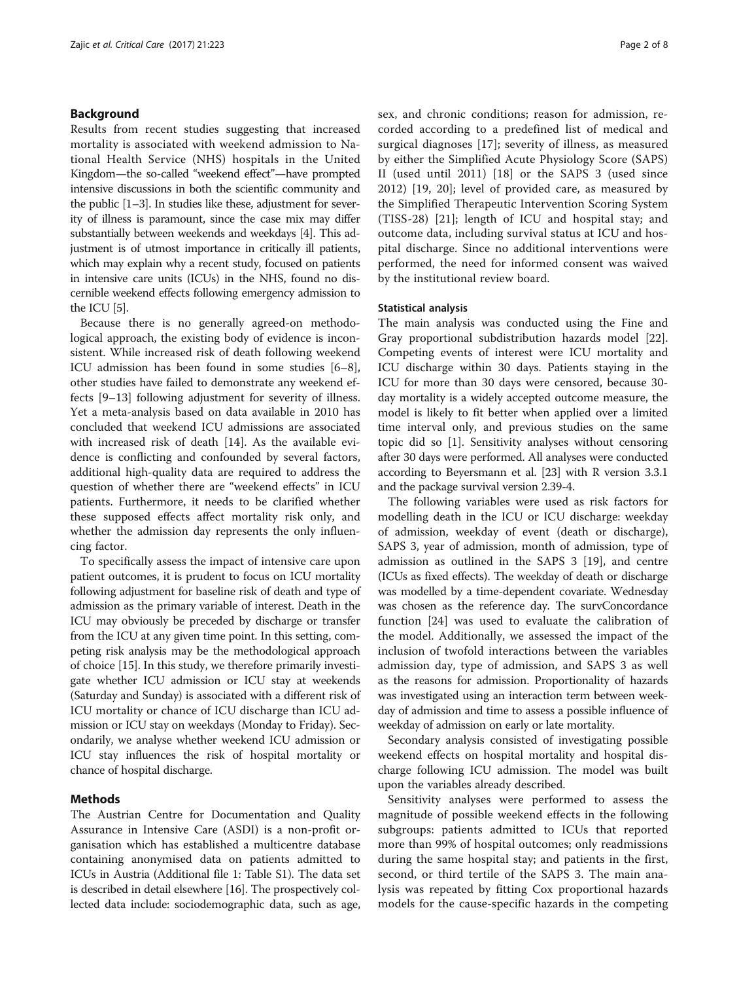# Background

Results from recent studies suggesting that increased mortality is associated with weekend admission to National Health Service (NHS) hospitals in the United Kingdom—the so-called "weekend effect"—have prompted intensive discussions in both the scientific community and the public [[1](#page-7-0)–[3\]](#page-7-0). In studies like these, adjustment for severity of illness is paramount, since the case mix may differ substantially between weekends and weekdays [[4](#page-7-0)]. This adjustment is of utmost importance in critically ill patients, which may explain why a recent study, focused on patients in intensive care units (ICUs) in the NHS, found no discernible weekend effects following emergency admission to the ICU [\[5\]](#page-7-0).

Because there is no generally agreed-on methodological approach, the existing body of evidence is inconsistent. While increased risk of death following weekend ICU admission has been found in some studies [\[6](#page-7-0)–[8](#page-7-0)], other studies have failed to demonstrate any weekend effects [[9](#page-7-0)–[13](#page-7-0)] following adjustment for severity of illness. Yet a meta-analysis based on data available in 2010 has concluded that weekend ICU admissions are associated with increased risk of death [[14\]](#page-7-0). As the available evidence is conflicting and confounded by several factors, additional high-quality data are required to address the question of whether there are "weekend effects" in ICU patients. Furthermore, it needs to be clarified whether these supposed effects affect mortality risk only, and whether the admission day represents the only influencing factor.

To specifically assess the impact of intensive care upon patient outcomes, it is prudent to focus on ICU mortality following adjustment for baseline risk of death and type of admission as the primary variable of interest. Death in the ICU may obviously be preceded by discharge or transfer from the ICU at any given time point. In this setting, competing risk analysis may be the methodological approach of choice [\[15\]](#page-7-0). In this study, we therefore primarily investigate whether ICU admission or ICU stay at weekends (Saturday and Sunday) is associated with a different risk of ICU mortality or chance of ICU discharge than ICU admission or ICU stay on weekdays (Monday to Friday). Secondarily, we analyse whether weekend ICU admission or ICU stay influences the risk of hospital mortality or chance of hospital discharge.

# Methods

The Austrian Centre for Documentation and Quality Assurance in Intensive Care (ASDI) is a non-profit organisation which has established a multicentre database containing anonymised data on patients admitted to ICUs in Austria (Additional file [1](#page-6-0): Table S1). The data set is described in detail elsewhere [[16](#page-7-0)]. The prospectively collected data include: sociodemographic data, such as age, sex, and chronic conditions; reason for admission, recorded according to a predefined list of medical and surgical diagnoses [[17\]](#page-7-0); severity of illness, as measured by either the Simplified Acute Physiology Score (SAPS) II (used until 2011) [[18\]](#page-7-0) or the SAPS 3 (used since 2012) [[19](#page-7-0), [20\]](#page-7-0); level of provided care, as measured by the Simplified Therapeutic Intervention Scoring System (TISS-28) [[21\]](#page-7-0); length of ICU and hospital stay; and outcome data, including survival status at ICU and hospital discharge. Since no additional interventions were performed, the need for informed consent was waived by the institutional review board.

#### Statistical analysis

The main analysis was conducted using the Fine and Gray proportional subdistribution hazards model [\[22](#page-7-0)]. Competing events of interest were ICU mortality and ICU discharge within 30 days. Patients staying in the ICU for more than 30 days were censored, because 30 day mortality is a widely accepted outcome measure, the model is likely to fit better when applied over a limited time interval only, and previous studies on the same topic did so [\[1](#page-7-0)]. Sensitivity analyses without censoring after 30 days were performed. All analyses were conducted according to Beyersmann et al. [[23](#page-7-0)] with R version 3.3.1 and the package survival version 2.39-4.

The following variables were used as risk factors for modelling death in the ICU or ICU discharge: weekday of admission, weekday of event (death or discharge), SAPS 3, year of admission, month of admission, type of admission as outlined in the SAPS 3 [\[19](#page-7-0)], and centre (ICUs as fixed effects). The weekday of death or discharge was modelled by a time-dependent covariate. Wednesday was chosen as the reference day. The survConcordance function [[24](#page-7-0)] was used to evaluate the calibration of the model. Additionally, we assessed the impact of the inclusion of twofold interactions between the variables admission day, type of admission, and SAPS 3 as well as the reasons for admission. Proportionality of hazards was investigated using an interaction term between weekday of admission and time to assess a possible influence of weekday of admission on early or late mortality.

Secondary analysis consisted of investigating possible weekend effects on hospital mortality and hospital discharge following ICU admission. The model was built upon the variables already described.

Sensitivity analyses were performed to assess the magnitude of possible weekend effects in the following subgroups: patients admitted to ICUs that reported more than 99% of hospital outcomes; only readmissions during the same hospital stay; and patients in the first, second, or third tertile of the SAPS 3. The main analysis was repeated by fitting Cox proportional hazards models for the cause-specific hazards in the competing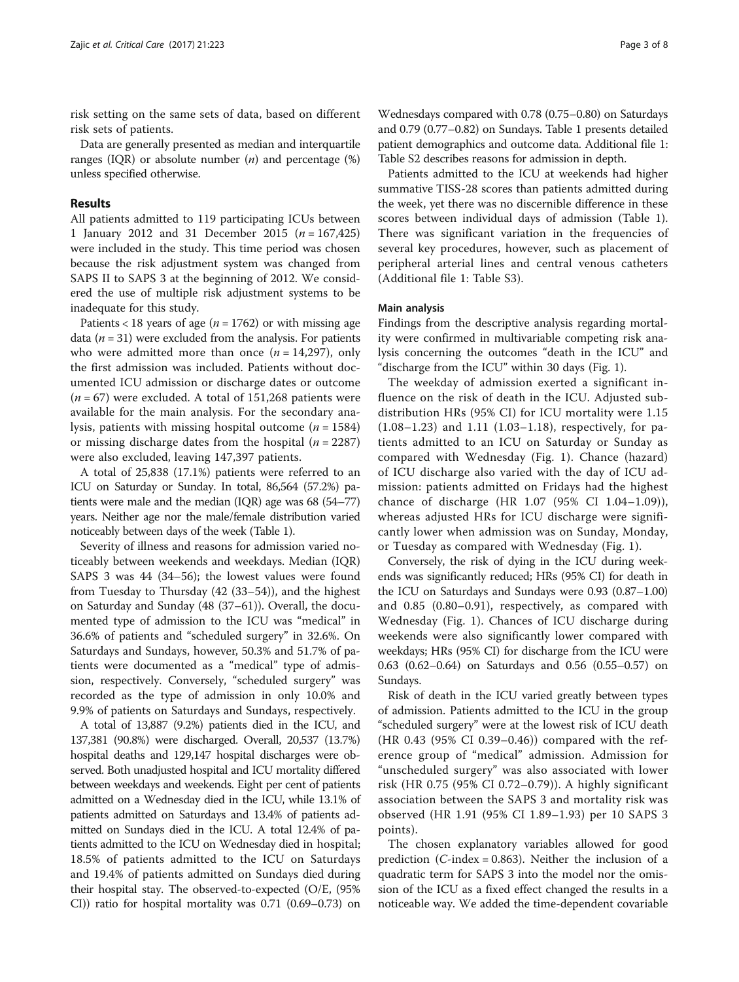risk setting on the same sets of data, based on different risk sets of patients.

Data are generally presented as median and interquartile ranges (IQR) or absolute number  $(n)$  and percentage  $(\%)$ unless specified otherwise.

# Results

All patients admitted to 119 participating ICUs between 1 January 2012 and 31 December 2015 ( $n = 167,425$ ) were included in the study. This time period was chosen because the risk adjustment system was changed from SAPS II to SAPS 3 at the beginning of 2012. We considered the use of multiple risk adjustment systems to be inadequate for this study.

Patients < 18 years of age ( $n = 1762$ ) or with missing age data ( $n = 31$ ) were excluded from the analysis. For patients who were admitted more than once  $(n = 14,297)$ , only the first admission was included. Patients without documented ICU admission or discharge dates or outcome  $(n = 67)$  were excluded. A total of 151,268 patients were available for the main analysis. For the secondary analysis, patients with missing hospital outcome  $(n = 1584)$ or missing discharge dates from the hospital  $(n = 2287)$ were also excluded, leaving 147,397 patients.

A total of 25,838 (17.1%) patients were referred to an ICU on Saturday or Sunday. In total, 86,564 (57.2%) patients were male and the median (IQR) age was 68 (54–77) years. Neither age nor the male/female distribution varied noticeably between days of the week (Table [1\)](#page-3-0).

Severity of illness and reasons for admission varied noticeably between weekends and weekdays. Median (IQR) SAPS 3 was 44 (34–56); the lowest values were found from Tuesday to Thursday (42 (33–54)), and the highest on Saturday and Sunday (48 (37–61)). Overall, the documented type of admission to the ICU was "medical" in 36.6% of patients and "scheduled surgery" in 32.6%. On Saturdays and Sundays, however, 50.3% and 51.7% of patients were documented as a "medical" type of admission, respectively. Conversely, "scheduled surgery" was recorded as the type of admission in only 10.0% and 9.9% of patients on Saturdays and Sundays, respectively.

A total of 13,887 (9.2%) patients died in the ICU, and 137,381 (90.8%) were discharged. Overall, 20,537 (13.7%) hospital deaths and 129,147 hospital discharges were observed. Both unadjusted hospital and ICU mortality differed between weekdays and weekends. Eight per cent of patients admitted on a Wednesday died in the ICU, while 13.1% of patients admitted on Saturdays and 13.4% of patients admitted on Sundays died in the ICU. A total 12.4% of patients admitted to the ICU on Wednesday died in hospital; 18.5% of patients admitted to the ICU on Saturdays and 19.4% of patients admitted on Sundays died during their hospital stay. The observed-to-expected (O/E, (95% CI)) ratio for hospital mortality was 0.71 (0.69–0.73) on

Wednesdays compared with 0.78 (0.75–0.80) on Saturdays and 0.79 (0.77–0.82) on Sundays. Table [1](#page-3-0) presents detailed patient demographics and outcome data. Additional file [1](#page-6-0): Table S2 describes reasons for admission in depth.

Patients admitted to the ICU at weekends had higher summative TISS-28 scores than patients admitted during the week, yet there was no discernible difference in these scores between individual days of admission (Table [1](#page-3-0)). There was significant variation in the frequencies of several key procedures, however, such as placement of peripheral arterial lines and central venous catheters (Additional file [1:](#page-6-0) Table S3).

### Main analysis

Findings from the descriptive analysis regarding mortality were confirmed in multivariable competing risk analysis concerning the outcomes "death in the ICU" and "discharge from the ICU" within 30 days (Fig. [1\)](#page-4-0).

The weekday of admission exerted a significant influence on the risk of death in the ICU. Adjusted subdistribution HRs (95% CI) for ICU mortality were 1.15 (1.08–1.23) and 1.11 (1.03–1.18), respectively, for patients admitted to an ICU on Saturday or Sunday as compared with Wednesday (Fig. [1\)](#page-4-0). Chance (hazard) of ICU discharge also varied with the day of ICU admission: patients admitted on Fridays had the highest chance of discharge (HR 1.07 (95% CI 1.04–1.09)), whereas adjusted HRs for ICU discharge were significantly lower when admission was on Sunday, Monday, or Tuesday as compared with Wednesday (Fig. [1\)](#page-4-0).

Conversely, the risk of dying in the ICU during weekends was significantly reduced; HRs (95% CI) for death in the ICU on Saturdays and Sundays were 0.93 (0.87–1.00) and 0.85 (0.80–0.91), respectively, as compared with Wednesday (Fig. [1](#page-4-0)). Chances of ICU discharge during weekends were also significantly lower compared with weekdays; HRs (95% CI) for discharge from the ICU were 0.63 (0.62–0.64) on Saturdays and 0.56 (0.55–0.57) on Sundays.

Risk of death in the ICU varied greatly between types of admission. Patients admitted to the ICU in the group "scheduled surgery" were at the lowest risk of ICU death (HR 0.43 (95% CI 0.39–0.46)) compared with the reference group of "medical" admission. Admission for "unscheduled surgery" was also associated with lower risk (HR 0.75 (95% CI 0.72–0.79)). A highly significant association between the SAPS 3 and mortality risk was observed (HR 1.91 (95% CI 1.89–1.93) per 10 SAPS 3 points).

The chosen explanatory variables allowed for good prediction ( $C$ -index = 0.863). Neither the inclusion of a quadratic term for SAPS 3 into the model nor the omission of the ICU as a fixed effect changed the results in a noticeable way. We added the time-dependent covariable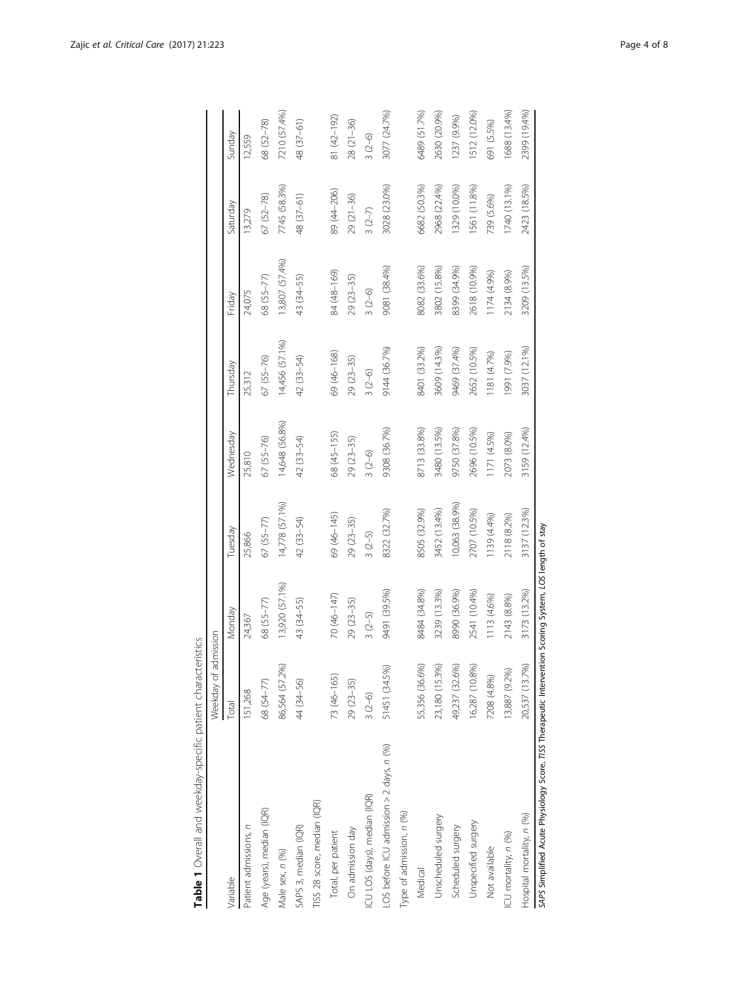<span id="page-3-0"></span>

|                                                                                                          | Weekday of admission |                |                |                |                |                |               |              |
|----------------------------------------------------------------------------------------------------------|----------------------|----------------|----------------|----------------|----------------|----------------|---------------|--------------|
| Variable                                                                                                 | Total                | Monday         | Tuesday        | Wednesday      | Thursday       | Friday         | Saturday      | Sunday       |
| Patient admissions, n                                                                                    | 151,268              | 24,367         | 25,866         | 25,810         | 25,312         | 24,075         | 13,279        | 12,559       |
| Age (years), median (IQR)                                                                                | 68 (54-77)           | 68 (55-77)     | $67 (55 - 77)$ | $67(55 - 76)$  | $67(55 - 76)$  | 68 (55-77)     | $67(52 - 78)$ | 68 (52-78)   |
| Male sex, n (%)                                                                                          | 86,564 (57.2%)       | 13,920 (57.1%) | 14,778 (57.1%) | 14,648 (56.8%) | 14,456 (57.1%) | 13,807 (57.4%) | 7745 (58.3%)  | 7210 (57.4%) |
| SAPS 3, median (IQR)                                                                                     | 44 (34-56)           | 43 (34-55)     | 42 (33-54)     | 42 (33-54)     | 42 (33-54)     | 43 (34-55)     | 48 (37-61)    | 48 (37-61)   |
| TISS 28 score, median (IQR)                                                                              |                      |                |                |                |                |                |               |              |
| Total, per patient                                                                                       | 73 (46-165)          | 70 (46-147)    | 69 (46-145)    | 68 (45-155)    | 69 (46-168)    | 84 (48-169)    | 89 (44-206)   | 81 (42-192)  |
| On admission day                                                                                         | $29(23 - 35)$        | $29(23 - 35)$  | $29(23-35)$    | $29(23-35)$    | $29(23 - 35)$  | 29 (23-35)     | $29(21-36)$   | $28(21-36)$  |
| ICU LOS (days), median (IQR)                                                                             | $3(2-6)$             | $3(2-5)$       | $3(2-5)$       | $3(2-6)$       | $3(2-6)$       | $3(2-6)$       | $3(2-7)$      | $3(2-6)$     |
| LOS before ICU admission > 2 days, n (%)                                                                 | 51451 (34.5%)        | 9491 (39.5%)   | 8322 (32.7%)   | 9308 (36.7%)   | 9144 (36.7%)   | 9081 (38.4%)   | 3028 (23.0%)  | 3077 (24.7%) |
| Type of admission, n (%)                                                                                 |                      |                |                |                |                |                |               |              |
| Medical                                                                                                  | 55,356 (36.6%)       | 8484 (34.8%)   | 8505 (32.9%)   | 8713 (33.8%)   | 8401 (33.2%)   | 8082 (33.6%)   | 6682 (50.3%)  | 6489 (51.7%) |
| Unscheduled surgery                                                                                      | 23,180 (15.3%)       | 3239 (13.3%)   | 3452 (13.4%)   | 3480 (13.5%)   | 3609 (14.3%)   | 3802 (15.8%)   | 2968 (22.4%)  | 2630 (20.9%) |
| Scheduled surgery                                                                                        | 49,237 (32.6%)       | 8990 (36.9%)   | 10,063 (38.9%) | 9750 (37.8%)   | 9469 (37.4%)   | 8399 (34.9%)   | 1329 (10.0%)  | 1237 (9.9%)  |
| Unspecified surgery                                                                                      | 16,287 (10.8%)       | 2541 (10.4%)   | 2707 (10.5%)   | 2696 (10.5%)   | 2652 (10.5%)   | 2618 (10.9%)   | 1561 (11.8%)  | 1512 (12.0%) |
| Not available                                                                                            | 7208 (4.8%)          | 1113 (4.6%)    | 1139 (4.4%)    | 1171 (4.5%)    | 181 (4.7%)     | (9667) +/11    | 739 (5.6%)    | 691 (5.5%)   |
| ICU mortality, n (%)                                                                                     | 13,887 (9.2%)        | 2143 (8.8%)    | 2118 (8.2%)    | 2073 (8.0%)    | (991 (7.9%)    | 2134 (8.9%)    | 1740 (13.1%)  | 1688 (13.4%) |
| Hospital mortality, n (%)                                                                                | 20,537 (13.7%)       | 3173 (13.2%)   | 3137 (12.3%)   | 3159 (12.4%)   | 3037 (12.1%)   | 3209 (13.5%)   | 2423 (18.5%)  | 2399 (19.4%) |
| SAPS Simplified Acute Physiology Score, TISS Therapeutic Intervention Scoring System, LOS length of stay |                      |                |                |                |                |                |               |              |
|                                                                                                          |                      |                |                |                |                |                |               |              |
|                                                                                                          |                      |                |                |                |                |                |               |              |
|                                                                                                          |                      |                |                |                |                |                |               |              |

| ١<br>j<br>I<br>J<br>I<br>١                                    |
|---------------------------------------------------------------|
| J<br>Ï<br>J<br>J<br>١<br>5<br>I<br>ļ<br>¢<br>۱<br>ļ<br>j<br>I |
| ļ<br>J<br>١<br>j<br>I<br>١<br>ļ<br>١                          |
| ţ<br>J<br>j<br>I<br>J<br>l<br>J<br>ļ<br>١<br>j                |
| ĭ<br>5<br>I<br>i<br>۱<br>j<br>l<br>I<br>J                     |
| ₹<br>i<br>Ś<br>I                                              |
| I<br>١<br>j<br>I<br>i<br>C<br>١                               |
| ŧ<br>I<br>ı<br>í                                              |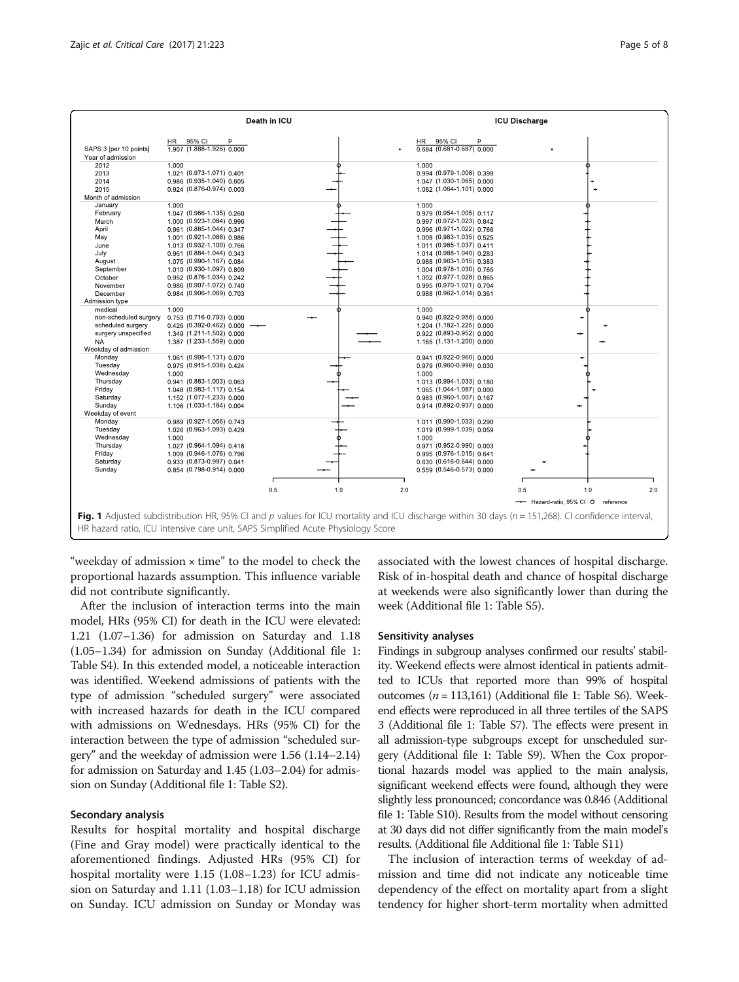<span id="page-4-0"></span>

|                            |                                                                                                                                                   |     |     |     |                                   | <b>ICU Discharge</b> |                                    |     |
|----------------------------|---------------------------------------------------------------------------------------------------------------------------------------------------|-----|-----|-----|-----------------------------------|----------------------|------------------------------------|-----|
|                            | 95% CI<br>HR<br>p                                                                                                                                 |     |     |     | 95% CI<br>HR<br>p                 |                      |                                    |     |
| SAPS 3 [per 10 points]     | 1.907 (1.888-1.926) 0.000                                                                                                                         |     |     |     | $0.684$ (0.681-0.687) 0.000       |                      |                                    |     |
| Year of admission          |                                                                                                                                                   |     |     |     |                                   |                      |                                    |     |
| 2012                       | 1.000                                                                                                                                             |     |     |     | 1.000                             |                      |                                    |     |
| 2013                       | 1.021 (0.973-1.071) 0.401                                                                                                                         |     |     |     | 0.994 (0.979-1.008) 0.399         |                      |                                    |     |
| 2014                       | 0.986 (0.935-1.040) 0.605                                                                                                                         |     |     |     | 1.047 (1.030-1.065) 0.000         |                      |                                    |     |
| 2015                       | 0.924 (0.876-0.974) 0.003                                                                                                                         |     |     |     | 1.082 (1.064-1.101) 0.000         |                      |                                    |     |
| Month of admission         |                                                                                                                                                   |     |     |     |                                   |                      |                                    |     |
| January                    | 1.000                                                                                                                                             |     |     |     | 1.000                             |                      |                                    |     |
| February                   | 1.047 (0.966-1.135) 0.260                                                                                                                         |     |     |     | 0.979 (0.954-1.005) 0.117         |                      |                                    |     |
| March                      | 1.000 (0.923-1.084) 0.996                                                                                                                         |     |     |     | 0.997 (0.972-1.023) 0.842         |                      |                                    |     |
| April                      | 0.961 (0.885-1.044) 0.347                                                                                                                         |     |     |     | 0.996 (0.971-1.022) 0.766         |                      |                                    |     |
| May                        | 1.001 (0.921-1.088) 0.986                                                                                                                         |     |     |     | 1,008 (0.983-1.035) 0,525         |                      |                                    |     |
| June                       | 1.013 (0.932-1.100) 0.766                                                                                                                         |     |     |     | 1.011 (0.985-1.037) 0.411         |                      |                                    |     |
| July                       | 0.961 (0.884-1.044) 0.343                                                                                                                         |     |     |     | 1.014 (0.988-1.040) 0.283         |                      |                                    |     |
| August                     | 1.075 (0.990-1.167) 0.084                                                                                                                         |     |     |     | 0.988 (0.963-1.015) 0.383         |                      |                                    |     |
| September                  | 1.010 (0.930-1.097) 0.809                                                                                                                         |     |     |     | 1.004 (0.978-1.030) 0.765         |                      |                                    |     |
| October                    | 0.952 (0.876-1.034) 0.242                                                                                                                         |     |     |     | 1.002 (0.977-1.028) 0.865         |                      |                                    |     |
| November                   | 0.986 (0.907-1.072) 0.740                                                                                                                         |     |     |     | 0.995 (0.970-1.021) 0.704         |                      |                                    |     |
| December<br>Admission type | 0.984 (0.906-1.069) 0.703                                                                                                                         |     |     |     | 0.988 (0.962-1.014) 0.361         |                      |                                    |     |
| medical                    | 1.000                                                                                                                                             |     |     |     | 1.000                             |                      |                                    |     |
| non-scheduled surgery      | 0.753 (0.716-0.793) 0.000                                                                                                                         |     |     |     | 0.940 (0.922-0.958) 0.000         |                      |                                    |     |
| scheduled surgery          | 0.426 (0.392-0.462) 0.000                                                                                                                         |     |     |     | 1.204 (1.182-1.225) 0.000         |                      |                                    |     |
| surgery unspecified        | 1.349 (1.211-1.502) 0.000                                                                                                                         |     |     |     | 0.922 (0.893-0.952) 0.000         |                      |                                    |     |
| <b>NA</b>                  | 1.387 (1.233-1.559) 0.000                                                                                                                         |     |     |     | 1.165 (1.131-1.200) 0.000         |                      |                                    |     |
| Weekday of admission       |                                                                                                                                                   |     |     |     |                                   |                      |                                    |     |
| Monday                     | 1.061 (0.995-1.131) 0.070                                                                                                                         |     |     |     | $0.941$ $(0.922 - 0.960)$ $0.000$ |                      | ۰                                  |     |
| Tuesday                    | 0.975 (0.915-1.038) 0.424                                                                                                                         |     |     |     | 0.979 (0.960-0.998) 0.030         |                      |                                    |     |
| Wednesday                  | 1.000                                                                                                                                             |     |     |     | 1.000                             |                      |                                    |     |
| Thursday                   | 0.941 (0.883-1.003) 0.063                                                                                                                         |     |     |     | 1.013 (0.994-1.033) 0.180         |                      |                                    |     |
| Friday                     | 1.048 (0.983-1.117) 0.154                                                                                                                         |     |     |     | 1.065 (1.044-1.087) 0.000         |                      |                                    |     |
| Saturday                   | 1.152 (1.077-1.233) 0.000                                                                                                                         |     |     |     | 0.983 (0.960-1.007) 0.167         |                      |                                    |     |
| Sunday                     | 1.106 (1.033-1.184) 0.004                                                                                                                         |     |     |     | 0.914 (0.892-0.937) 0.000         |                      |                                    |     |
| Weekday of event           |                                                                                                                                                   |     |     |     |                                   |                      |                                    |     |
| Monday                     | 0.989 (0.927-1.056) 0.743                                                                                                                         |     |     |     | 1.011 (0.990-1.033) 0.290         |                      |                                    |     |
| Tuesday                    | 1.026 (0.963-1.093) 0.429                                                                                                                         |     |     |     | 1.019 (0.999-1.039) 0.059         |                      |                                    |     |
| Wednesday                  | 1.000                                                                                                                                             |     |     |     | 1.000                             |                      |                                    |     |
| Thursday                   | 1.027 (0.964-1.094) 0.418                                                                                                                         |     |     |     | 0.971 (0.952-0.990) 0.003         |                      |                                    |     |
| Friday                     | 1,009 (0.946-1.076) 0.796                                                                                                                         |     |     |     | 0.995 (0.976-1.015) 0.641         |                      |                                    |     |
| Saturday                   | 0.933 (0.873-0.997) 0.041                                                                                                                         |     |     |     | 0.630 (0.616-0.644) 0.000         |                      |                                    |     |
| Sunday                     | 0.854 (0.798-0.914) 0.000                                                                                                                         |     |     |     | 0.559 (0.546-0.573) 0.000         |                      |                                    |     |
|                            |                                                                                                                                                   | 0.5 | 1.0 | 2.0 |                                   | 0.5                  | 1.0                                | 2.0 |
|                            |                                                                                                                                                   |     |     |     |                                   |                      |                                    |     |
|                            | Fig. 1 Adjusted subdistribution HR, 95% CI and p values for ICU mortality and ICU discharge within 30 days (n = 151,268). CI confidence interval, |     |     |     |                                   |                      | - Hazard-ratio, 95% CI O reference |     |

HR hazard ratio, ICU intensive care unit, SAPS Simplified Acute Physiology Score

"weekday of admission × time" to the model to check the proportional hazards assumption. This influence variable did not contribute significantly.

After the inclusion of interaction terms into the main model, HRs (95% CI) for death in the ICU were elevated: 1.21 (1.07–1.36) for admission on Saturday and 1.18 (1.05–1.34) for admission on Sunday (Additional file [1](#page-6-0): Table S4). In this extended model, a noticeable interaction was identified. Weekend admissions of patients with the type of admission "scheduled surgery" were associated with increased hazards for death in the ICU compared with admissions on Wednesdays. HRs (95% CI) for the interaction between the type of admission "scheduled surgery" and the weekday of admission were 1.56 (1.14–2.14) for admission on Saturday and 1.45 (1.03–2.04) for admission on Sunday (Additional file [1](#page-6-0): Table S2).

#### Secondary analysis

Results for hospital mortality and hospital discharge (Fine and Gray model) were practically identical to the aforementioned findings. Adjusted HRs (95% CI) for hospital mortality were 1.15 (1.08–1.23) for ICU admission on Saturday and 1.11 (1.03–1.18) for ICU admission on Sunday. ICU admission on Sunday or Monday was

associated with the lowest chances of hospital discharge. Risk of in-hospital death and chance of hospital discharge at weekends were also significantly lower than during the week (Additional file [1:](#page-6-0) Table S5).

#### Sensitivity analyses

Findings in subgroup analyses confirmed our results' stability. Weekend effects were almost identical in patients admitted to ICUs that reported more than 99% of hospital outcomes ( $n = 113,161$ ) (Additional file [1:](#page-6-0) Table S6). Weekend effects were reproduced in all three tertiles of the SAPS 3 (Additional file [1:](#page-6-0) Table S7). The effects were present in all admission-type subgroups except for unscheduled surgery (Additional file [1:](#page-6-0) Table S9). When the Cox proportional hazards model was applied to the main analysis, significant weekend effects were found, although they were slightly less pronounced; concordance was 0.846 (Additional file [1:](#page-6-0) Table S10). Results from the model without censoring at 30 days did not differ significantly from the main model's results. (Additional file Additional file [1](#page-6-0): Table S11)

The inclusion of interaction terms of weekday of admission and time did not indicate any noticeable time dependency of the effect on mortality apart from a slight tendency for higher short-term mortality when admitted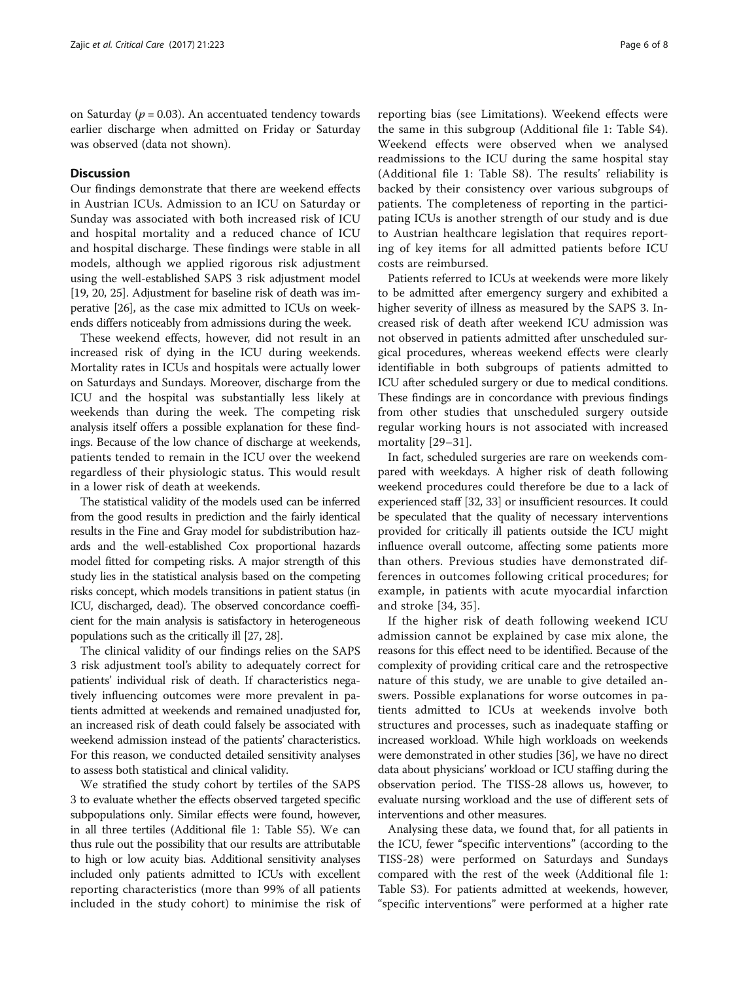on Saturday ( $p = 0.03$ ). An accentuated tendency towards earlier discharge when admitted on Friday or Saturday was observed (data not shown).

# **Discussion**

Our findings demonstrate that there are weekend effects in Austrian ICUs. Admission to an ICU on Saturday or Sunday was associated with both increased risk of ICU and hospital mortality and a reduced chance of ICU and hospital discharge. These findings were stable in all models, although we applied rigorous risk adjustment using the well-established SAPS 3 risk adjustment model [[19](#page-7-0), [20, 25\]](#page-7-0). Adjustment for baseline risk of death was imperative [[26](#page-7-0)], as the case mix admitted to ICUs on weekends differs noticeably from admissions during the week.

These weekend effects, however, did not result in an increased risk of dying in the ICU during weekends. Mortality rates in ICUs and hospitals were actually lower on Saturdays and Sundays. Moreover, discharge from the ICU and the hospital was substantially less likely at weekends than during the week. The competing risk analysis itself offers a possible explanation for these findings. Because of the low chance of discharge at weekends, patients tended to remain in the ICU over the weekend regardless of their physiologic status. This would result in a lower risk of death at weekends.

The statistical validity of the models used can be inferred from the good results in prediction and the fairly identical results in the Fine and Gray model for subdistribution hazards and the well-established Cox proportional hazards model fitted for competing risks. A major strength of this study lies in the statistical analysis based on the competing risks concept, which models transitions in patient status (in ICU, discharged, dead). The observed concordance coefficient for the main analysis is satisfactory in heterogeneous populations such as the critically ill [[27, 28](#page-7-0)].

The clinical validity of our findings relies on the SAPS 3 risk adjustment tool's ability to adequately correct for patients' individual risk of death. If characteristics negatively influencing outcomes were more prevalent in patients admitted at weekends and remained unadjusted for, an increased risk of death could falsely be associated with weekend admission instead of the patients' characteristics. For this reason, we conducted detailed sensitivity analyses to assess both statistical and clinical validity.

We stratified the study cohort by tertiles of the SAPS 3 to evaluate whether the effects observed targeted specific subpopulations only. Similar effects were found, however, in all three tertiles (Additional file [1](#page-6-0): Table S5). We can thus rule out the possibility that our results are attributable to high or low acuity bias. Additional sensitivity analyses included only patients admitted to ICUs with excellent reporting characteristics (more than 99% of all patients included in the study cohort) to minimise the risk of

reporting bias (see [Limitations](#page-6-0)). Weekend effects were the same in this subgroup (Additional file [1](#page-6-0): Table S4). Weekend effects were observed when we analysed readmissions to the ICU during the same hospital stay (Additional file [1](#page-6-0): Table S8). The results' reliability is backed by their consistency over various subgroups of patients. The completeness of reporting in the participating ICUs is another strength of our study and is due to Austrian healthcare legislation that requires reporting of key items for all admitted patients before ICU costs are reimbursed.

Patients referred to ICUs at weekends were more likely to be admitted after emergency surgery and exhibited a higher severity of illness as measured by the SAPS 3. Increased risk of death after weekend ICU admission was not observed in patients admitted after unscheduled surgical procedures, whereas weekend effects were clearly identifiable in both subgroups of patients admitted to ICU after scheduled surgery or due to medical conditions. These findings are in concordance with previous findings from other studies that unscheduled surgery outside regular working hours is not associated with increased mortality [[29](#page-7-0)–[31](#page-7-0)].

In fact, scheduled surgeries are rare on weekends compared with weekdays. A higher risk of death following weekend procedures could therefore be due to a lack of experienced staff [\[32](#page-7-0), [33](#page-7-0)] or insufficient resources. It could be speculated that the quality of necessary interventions provided for critically ill patients outside the ICU might influence overall outcome, affecting some patients more than others. Previous studies have demonstrated differences in outcomes following critical procedures; for example, in patients with acute myocardial infarction and stroke [[34, 35](#page-7-0)].

If the higher risk of death following weekend ICU admission cannot be explained by case mix alone, the reasons for this effect need to be identified. Because of the complexity of providing critical care and the retrospective nature of this study, we are unable to give detailed answers. Possible explanations for worse outcomes in patients admitted to ICUs at weekends involve both structures and processes, such as inadequate staffing or increased workload. While high workloads on weekends were demonstrated in other studies [\[36\]](#page-7-0), we have no direct data about physicians' workload or ICU staffing during the observation period. The TISS-28 allows us, however, to evaluate nursing workload and the use of different sets of interventions and other measures.

Analysing these data, we found that, for all patients in the ICU, fewer "specific interventions" (according to the TISS-28) were performed on Saturdays and Sundays compared with the rest of the week (Additional file [1](#page-6-0): Table S3). For patients admitted at weekends, however, "specific interventions" were performed at a higher rate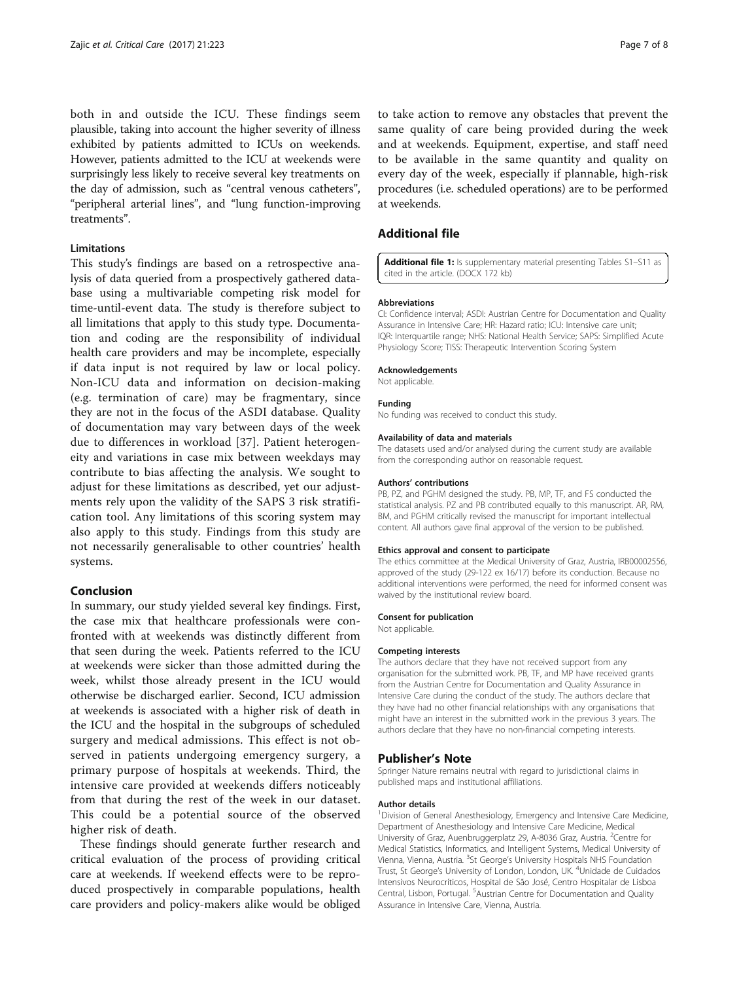<span id="page-6-0"></span>both in and outside the ICU. These findings seem plausible, taking into account the higher severity of illness exhibited by patients admitted to ICUs on weekends. However, patients admitted to the ICU at weekends were surprisingly less likely to receive several key treatments on the day of admission, such as "central venous catheters", "peripheral arterial lines", and "lung function-improving treatments".

# Limitations

This study's findings are based on a retrospective analysis of data queried from a prospectively gathered database using a multivariable competing risk model for time-until-event data. The study is therefore subject to all limitations that apply to this study type. Documentation and coding are the responsibility of individual health care providers and may be incomplete, especially if data input is not required by law or local policy. Non-ICU data and information on decision-making (e.g. termination of care) may be fragmentary, since they are not in the focus of the ASDI database. Quality of documentation may vary between days of the week due to differences in workload [\[37](#page-7-0)]. Patient heterogeneity and variations in case mix between weekdays may contribute to bias affecting the analysis. We sought to adjust for these limitations as described, yet our adjustments rely upon the validity of the SAPS 3 risk stratification tool. Any limitations of this scoring system may also apply to this study. Findings from this study are not necessarily generalisable to other countries' health systems.

# Conclusion

In summary, our study yielded several key findings. First, the case mix that healthcare professionals were confronted with at weekends was distinctly different from that seen during the week. Patients referred to the ICU at weekends were sicker than those admitted during the week, whilst those already present in the ICU would otherwise be discharged earlier. Second, ICU admission at weekends is associated with a higher risk of death in the ICU and the hospital in the subgroups of scheduled surgery and medical admissions. This effect is not observed in patients undergoing emergency surgery, a primary purpose of hospitals at weekends. Third, the intensive care provided at weekends differs noticeably from that during the rest of the week in our dataset. This could be a potential source of the observed higher risk of death.

These findings should generate further research and critical evaluation of the process of providing critical care at weekends. If weekend effects were to be reproduced prospectively in comparable populations, health care providers and policy-makers alike would be obliged

to take action to remove any obstacles that prevent the same quality of care being provided during the week and at weekends. Equipment, expertise, and staff need to be available in the same quantity and quality on every day of the week, especially if plannable, high-risk procedures (i.e. scheduled operations) are to be performed at weekends.

### Additional file

[Additional file 1:](dx.doi.org/10.1186/s13054-017-1812-0) Is supplementary material presenting Tables S1-S11 as cited in the article. (DOCX 172 kb)

#### Abbreviations

CI: Confidence interval; ASDI: Austrian Centre for Documentation and Quality Assurance in Intensive Care; HR: Hazard ratio; ICU: Intensive care unit; IQR: Interquartile range; NHS: National Health Service; SAPS: Simplified Acute Physiology Score; TISS: Therapeutic Intervention Scoring System

#### Acknowledgements

Not applicable.

#### Funding

No funding was received to conduct this study.

#### Availability of data and materials

The datasets used and/or analysed during the current study are available from the corresponding author on reasonable request.

#### Authors' contributions

PB, PZ, and PGHM designed the study. PB, MP, TF, and FS conducted the statistical analysis. PZ and PB contributed equally to this manuscript. AR, RM, BM, and PGHM critically revised the manuscript for important intellectual content. All authors gave final approval of the version to be published.

#### Ethics approval and consent to participate

The ethics committee at the Medical University of Graz, Austria, IRB00002556, approved of the study (29-122 ex 16/17) before its conduction. Because no additional interventions were performed, the need for informed consent was waived by the institutional review board.

#### Consent for publication

Not applicable.

#### Competing interests

The authors declare that they have not received support from any organisation for the submitted work. PB, TF, and MP have received grants from the Austrian Centre for Documentation and Quality Assurance in Intensive Care during the conduct of the study. The authors declare that they have had no other financial relationships with any organisations that might have an interest in the submitted work in the previous 3 years. The authors declare that they have no non-financial competing interests.

#### Publisher's Note

Springer Nature remains neutral with regard to jurisdictional claims in published maps and institutional affiliations.

#### Author details

<sup>1</sup> Division of General Anesthesiology, Emergency and Intensive Care Medicine Department of Anesthesiology and Intensive Care Medicine, Medical University of Graz, Auenbruggerplatz 29, A-8036 Graz, Austria. <sup>2</sup>Centre for Medical Statistics, Informatics, and Intelligent Systems, Medical University of Vienna, Vienna, Austria. <sup>3</sup>St George's University Hospitals NHS Foundation Trust, St George's University of London, London, UK. <sup>4</sup>Unidade de Cuidados Intensivos Neurocríticos, Hospital de São José, Centro Hospitalar de Lisboa Central, Lisbon, Portugal. <sup>5</sup>Austrian Centre for Documentation and Quality Assurance in Intensive Care, Vienna, Austria.